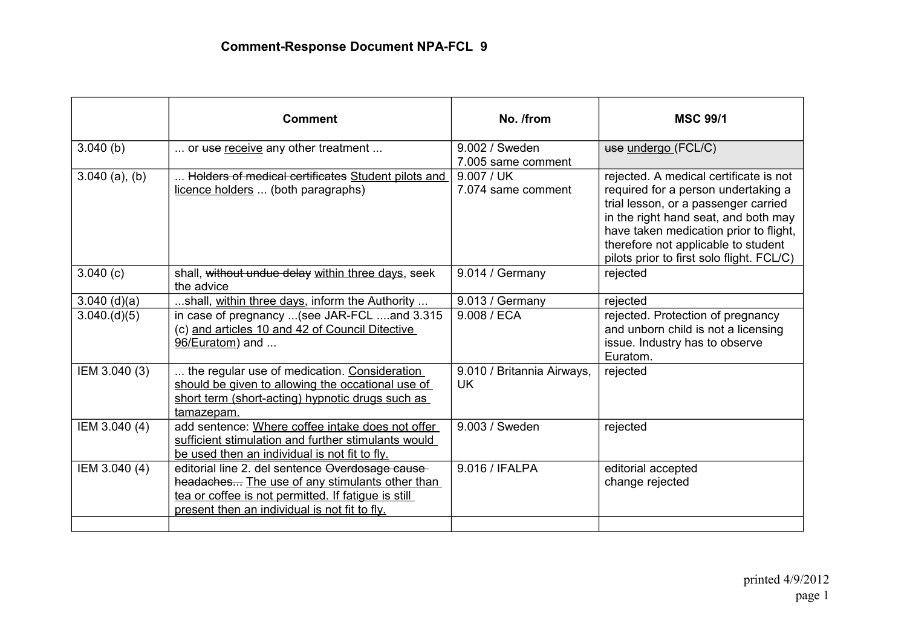|                  | <b>Comment</b>                                                                                                                                                                                            | No. /from                               | <b>MSC 99/1</b>                                                                                                                                                                                                                                                                             |
|------------------|-----------------------------------------------------------------------------------------------------------------------------------------------------------------------------------------------------------|-----------------------------------------|---------------------------------------------------------------------------------------------------------------------------------------------------------------------------------------------------------------------------------------------------------------------------------------------|
| 3.040(b)         | or use receive any other treatment                                                                                                                                                                        | 9.002 / Sweden<br>7.005 same comment    | use undergo (FCL/C)                                                                                                                                                                                                                                                                         |
| $3.040$ (a), (b) | Holders of medical certificates Student pilots and<br>licence holders  (both paragraphs)                                                                                                                  | 9.007 / UK<br>7.074 same comment        | rejected. A medical certificate is not<br>required for a person undertaking a<br>trial lesson, or a passenger carried<br>in the right hand seat, and both may<br>have taken medication prior to flight,<br>therefore not applicable to student<br>pilots prior to first solo flight. FCL/C) |
| 3.040(c)         | shall, without undue delay within three days, seek<br>the advice                                                                                                                                          | 9.014 / Germany                         | rejected                                                                                                                                                                                                                                                                                    |
| $3.040$ (d)(a)   | shall, within three days, inform the Authority                                                                                                                                                            | 9.013 / Germany                         | rejected                                                                                                                                                                                                                                                                                    |
| 3.040.(d)(5)     | in case of pregnancy  (see JAR-FCL  and 3.315<br>(c) and articles 10 and 42 of Council Ditective<br>96/Euratom) and                                                                                       | 9.008 / ECA                             | rejected. Protection of pregnancy<br>and unborn child is not a licensing<br>issue. Industry has to observe<br>Euratom.                                                                                                                                                                      |
| IEM 3.040 (3)    | the regular use of medication. Consideration<br>should be given to allowing the occational use of<br>short term (short-acting) hypnotic drugs such as<br>tamazepam.                                       | 9.010 / Britannia Airways,<br><b>UK</b> | rejected                                                                                                                                                                                                                                                                                    |
| IEM 3.040 (4)    | add sentence: Where coffee intake does not offer<br>sufficient stimulation and further stimulants would<br>be used then an individual is not fit to fly.                                                  | 9.003 / Sweden                          | rejected                                                                                                                                                                                                                                                                                    |
| IEM 3.040 (4)    | editorial line 2. del sentence Overdosage cause<br>headaches The use of any stimulants other than<br>tea or coffee is not permitted. If fatigue is still<br>present then an individual is not fit to fly. | 9.016 / IFALPA                          | editorial accepted<br>change rejected                                                                                                                                                                                                                                                       |
|                  |                                                                                                                                                                                                           |                                         |                                                                                                                                                                                                                                                                                             |